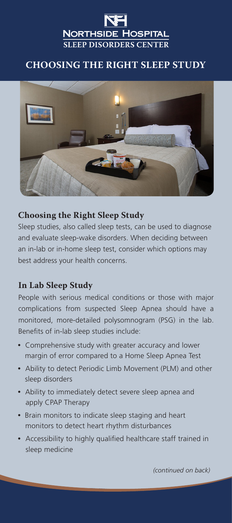# **NORTHSIDE HOSPITAL SLEEP DISORDERS CENTER**

## **CHOOSING THE RIGHT SLEEP STUDY**



#### **Choosing the Right Sleep Study**

Sleep studies, also called sleep tests, can be used to diagnose and evaluate sleep-wake disorders. When deciding between an in-lab or in-home sleep test, consider which options may best address your health concerns.

### **In Lab Sleep Study**

People with serious medical conditions or those with major complications from suspected Sleep Apnea should have a monitored, more-detailed polysomnogram (PSG) in the lab. Benefits of in-lab sleep studies include:

- **•** Comprehensive study with greater accuracy and lower margin of error compared to a Home Sleep Apnea Test
- **•** Ability to detect Periodic Limb Movement (PLM) and other sleep disorders
- **•** Ability to immediately detect severe sleep apnea and apply CPAP Therapy
- **•** Brain monitors to indicate sleep staging and heart monitors to detect heart rhythm disturbances
- **•** Accessibility to highly qualified healthcare staff trained in sleep medicine